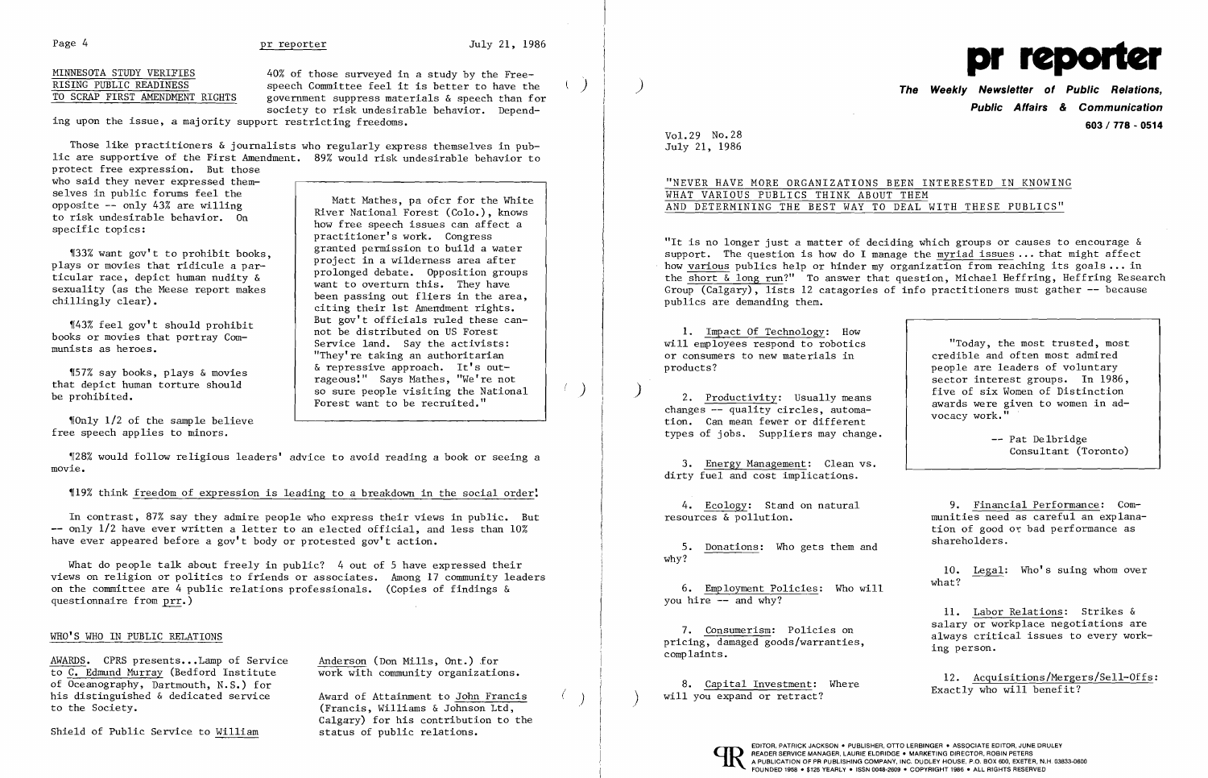Page 4 **pr reporter by The Gallery 3** pr reporter **by July 21, 1986** 

 $\left( \frac{1}{2} \right)$ 

 $($ 

 $\left( \begin{array}{c} \end{array} \right)$ 

40% of those surveyed in a study by the Freespeech Committee feel it is better to have the government suppress materials & speech than for society to risk undesirable behavior. Depend-

ing upon the issue, a majority support restricting freedoms.

MINNESOTA STUDY VERIFIES RISING PUBLIC READINESS TO SCRAP FIRST AMENDMENT RIGHTS

> Matt Mathes, pa ofcr for the White River National Forest (Colo.), knows how free speech issues can affect a practitioner's work. Congress granted permission to build a water project in a wilderness area after prolonged debate. Opposition groups want to overturn this. They have been passing out fliers in the area, citing their 1st Amendment rights. But gov't officials ruled these cannot be distributed on US Forest Service land. Say the activists: "They're taking an authoritarian & repressive approach. It's outrageous:" Says Mathes, "We're not so sure people visiting the National Forest want to be recruited."

 $\lceil$  Only 1/2 of the sample believe free speech applies to minors.

128% would follow religious leaders' advice to avoid reading a book or seeing a movie.

Those like practitioners & journalists who regularly express themselves in public are supportive of the First Amendment. 89% would risk undesirable behavior to

What do people talk about freely in public? 4 out of 5 have expressed their views on religion or politics to friends or associates. Among 17 community leaders on the committee are 4 public relations professionals. (Copies of findings & questionnaire from prr.)

protect free expression. But those who said they never expressed themselves in public forums feel the opposite  $--$  only 43% are willing to risk undesirable behavior. On specific topics:

AWARDS. CPRS presents...Lamp of Service to C. Edmund Murray (Bedford Institute of Oceanography, Dartmouth, N.S.) for his distinguished & dedicated service to the Society.

Anderson (Don Mills, Ont.) for work with community organizations.

'133% want gov't to prohibit books, plays or movies that ridicule a particular race, depict human nudity & sexuality (as the Meese report makes chillingly clear).

'[57% say books, plays & movies that depict human torture should be prohibited.

'f43% feel gov't should prohibit books or movies that portray Communists as heroes.

'119% think freedom of expression is leading to a breakdown in the social order:

6. Employment Policies: Who will you hire  $\frac{1}{2}$  and why?

In contrast, 87% say they admire people who express their views in public. But only 1/2 have ever written a letter to an elected official, and less than 10% have ever appeared before a gov't body or protested gov't action.

> 8. Capital Investment: Where will you expand or retract?

READER SERVICE MANAGER, LAURIE ELDRIDGE . MARKETING DIRECTOR, ROBIN PETERS

-- Pat Delbridge Consultant (Toronto)

## WHO'S WHO IN PUBLIC RELATIONS

Shield of Public Service to William

Award of Attainment to John Francis (Francis, Williams & Johnson Ltd, Calgary) for his contribution to the status of public relations.



) **The Weekly Newsletter of Public Relations, Public Affairs & Communication 603/778 - 0514** 

Vol. 29 No.28 July 21, 1986

## "NEVER HAVE MORE ORGANIZATIONS BEEN INTERESTED IN KNOWING WHAT VARIOUS PUBLICS THINK ABOUT THEM AND DETERMINING THE BEST WAY TO DEAL WITH THESE PUBLICS"

"It is no longer just a matter of deciding which groups or causes to encourage & support. The question is how do I manage the myriad issues ... that might affect how various publics help or hinder my organization from reaching its goals ... in the short  $\delta$  long run?" To answer that question, Michael Heffring, Heffring Research Group  $(Calgary)$ , lists 12 catagories of info practitioners must gather  $-$  because publics are demanding them.

1. Impact Of Technology: How will employees respond to robotics or consumers to new materials in products?

) 2. Productivity: Usually means changes -- quality circles, automation. Can mean fewer or different types of jobs. Suppliers may change.

3. Energy Management: Clean vs. dirty fuel and cost implications.

4. Ecology: Stand on natural resources & pollution.

5. Donations: Who gets them and why?

7. Consumerism: Policies on pricing, damaged goods/warranties, complaints.

"Today, the most trusted, most credible and often most admired people are leaders of voluntary sector interest groups. In 1986, five of six Women of Distinction awards were given to women in advocacy work."

9. Financial Performance: Communities need as careful an explanation of good oc bad performance as shareholders.

10. Legal: Who's suing whom over what?

11. Labor Relations: Strikes & salary or workplace negotiations are always critical issues to every working person.

12. Acquisitions/Mergers/Sell-Offs: Exactly who will benefit?